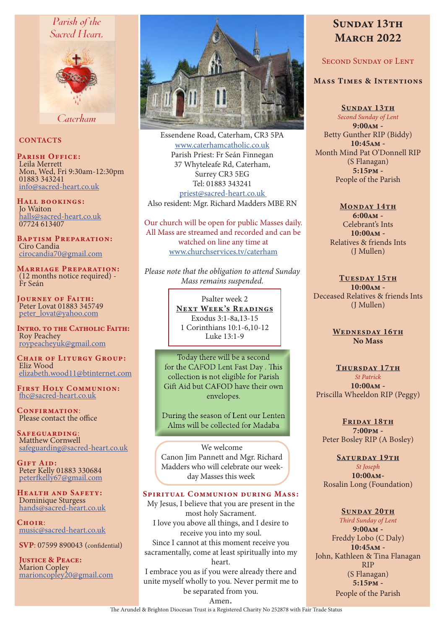# Parish of the Sacred Heart.



Caterham

# **CONTACTS**

PARISH OFFICE:<br>Leila Merrett Leila Merrett Mon, Wed, Fri 9:30am-12:30pm 01883 343241 info@sacred-heart.co.uk

Hall bookings: Jo Waiton halls@sacred-heart.co.uk 07724 613407

Baptism Preparation: Ciro Candia cirocandia70@gmail.com

Marriage Preparation: (12 months notice required) - Fr Seán

Journey of Faith: Peter Lovat 01883 345749 peter\_lovat@yahoo.com

INTRO. TO THE CATHOLIC FAITH: Roy Peachey roypeacheyuk@gmail.com

CHAIR OF LITURGY GROUP: Eliz Wood elizabeth.wood11@btinternet.com

First Holy Communion: fhc@sacred-heart.co.uk

CONFIRMATION: Please contact the office

Safeguarding: Matthew Cornwell safeguarding@sacred-heart.co.uk

GIFT AID: Peter Kelly 01883 330684 peterfkelly67@gmail.com

Health and Safety: Dominique Sturgess hands@sacred-heart.co.uk

 $C$ HOIR $\cdot$ music@sacred-heart.co.uk

SVP: 07599 890043 (confidential)

JUSTICE & PEACE: Marion Copley marioncopley20@gmail.com



Essendene Road, Caterham, CR3 5PA www.caterhamcatholic.co.uk Parish Priest: Fr Seán Finnegan 37 Whyteleafe Rd, Caterham, Surrey CR3 5EG Tel: 01883 343241 priest@sacred-heart.co.uk Also resident: Mgr. Richard Madders MBE RN

Our church will be open for public Masses daily. All Mass are streamed and recorded and can be watched on line any time at www.churchservices.tv/caterham

*Please note that the obligation to attend Sunday Mass remains suspended.*

> Psalter week 2 NEXT WEEK'S READINGS Exodus 3:1-8a,13-15 1 Corinthians 10:1-6,10-12 Luke 13:1-9

Today there will be a second for the CAFOD Lent Fast Day . This collection is not eligible for Parish Gift Aid but CAFOD have their own envelopes.

During the season of Lent our Lenten Alms will be collected for Madaba

We welcome Canon Jim Pannett and Mgr. Richard Madders who will celebrate our weekday Masses this week

#### Spiritual Communion during Mass:

My Jesus, I believe that you are present in the most holy Sacrament. I love you above all things, and I desire to receive you into my soul. Since I cannot at this moment receive you sacramentally, come at least spiritually into my heart. I embrace you as if you were already there and unite myself wholly to you. Never permit me to

# SUNDAY 13TH **MARCH 2022**

# Second Sunday of Lent

# Mass Times & Intentions

SUNDAY 13TH *Second Sunday of Lent* 9:00am - Betty Gunther RIP (Biddy) 10:45am - Month Mind Pat O'Donnell RIP (S Flanagan)  $5:15$ <sub>pm</sub> -People of the Parish

> MONDAY 14TH 6:00am - Celebrant's Ints 10:00am - Relatives & friends Ints (J Mullen)

TUESDAY 15TH 10:00am - Deceased Relatives & friends Ints (J Mullen)

> WEDNESDAY 16TH No Mass

THURSDAY 17TH *St Patrick*  10:00am - Priscilla Wheeldon RIP (Peggy)

FRIDAY 18TH 7:00pm - Peter Bosley RIP (A Bosley)

SATURDAY 19TH

*St Joseph* 10:00am-Rosalin Long (Foundation)

# SUNDAY 20TH

*Third Sunday of Lent* 9:00am - Freddy Lobo (C Daly) 10:45am - John, Kathleen & Tina Flanagan RIP (S Flanagan) 5:15pm - People of the Parish

be separated from you. Amen.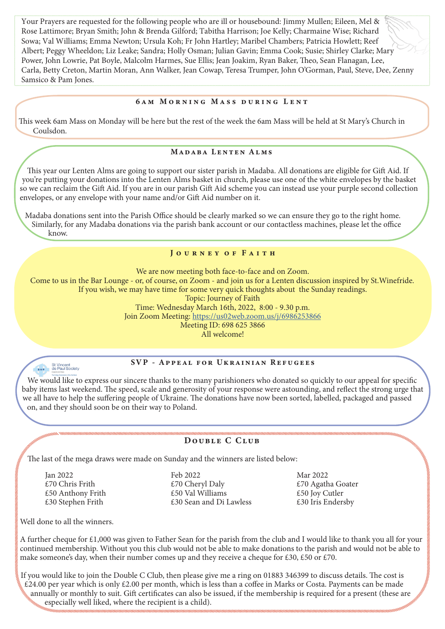Your Prayers are requested for the following people who are ill or housebound: Jimmy Mullen; Eileen, Mel & Rose Lattimore; Bryan Smith; John & Brenda Gilford; Tabitha Harrison; Joe Kelly; Charmaine Wise; Richard Sowa; Val Williams; Emma Newton; Ursula Koh; Fr John Hartley; Maribel Chambers; Patricia Howlett; Reef Albert; Peggy Wheeldon; Liz Leake; Sandra; Holly Osman; Julian Gavin; Emma Cook; Susie; Shirley Clarke; Mary Power, John Lowrie, Pat Boyle, Malcolm Harmes, Sue Ellis; Jean Joakim, Ryan Baker, Theo, Sean Flanagan, Lee, Carla, Betty Creton, Martin Moran, Ann Walker, Jean Cowap, Teresa Trumper, John O'Gorman, Paul, Steve, Dee, Zenny Samsico & Pam Jones.

#### 6am Morning Mass during Lent

This week 6am Mass on Monday will be here but the rest of the week the 6am Mass will be held at St Mary's Church in Coulsdon.

# Madaba Lenten Alms

This year our Lenten Alms are going to support our sister parish in Madaba. All donations are eligible for Gift Aid. If you're putting your donations into the Lenten Alms basket in church, please use one of the white envelopes by the basket so we can reclaim the Gift Aid. If you are in our parish Gift Aid scheme you can instead use your purple second collection envelopes, or any envelope with your name and/or Gift Aid number on it.

Madaba donations sent into the Parish Office should be clearly marked so we can ensure they go to the right home. Similarly, for any Madaba donations via the parish bank account or our contactless machines, please let the office know.

# JOURNEY OF FAITH

We are now meeting both face-to-face and on Zoom. Come to us in the Bar Lounge - or, of course, on Zoom - and join us for a Lenten discussion inspired by St.Winefride. If you wish, we may have time for some very quick thoughts about the Sunday readings. Topic: Journey of Faith Time: Wednesday March 16th, 2022, 8:00 - 9.30 p.m. Join Zoom Meeting: https://us02web.zoom.us/j/6986253866 Meeting ID: 698 625 3866

All welcome!



# SVP - Appeal for Ukrainian Refugees

 We would like to express our sincere thanks to the many parishioners who donated so quickly to our appeal for specific baby items last weekend. The speed, scale and generosity of your response were astounding, and reflect the strong urge that we all have to help the suffering people of Ukraine. The donations have now been sorted, labelled, packaged and passed on, and they should soon be on their way to Poland.

# Double C Club

The last of the mega draws were made on Sunday and the winners are listed below:

Jan 2022 £70 Chris Frith £50 Anthony Frith £30 Stephen Frith

Feb 2022 £70 Cheryl Daly £50 Val Williams £30 Sean and Di Lawless

Mar 2022 £70 Agatha Goater £50 Joy Cutler £30 Iris Endersby

Well done to all the winners.

A further cheque for £1,000 was given to Father Sean for the parish from the club and I would like to thank you all for your continued membership. Without you this club would not be able to make donations to the parish and would not be able to make someone's day, when their number comes up and they receive a cheque for £30, £50 or £70.

If you would like to join the Double C Club, then please give me a ring on 01883 346399 to discuss details. The cost is  $£24.00$  per year which is only  $£2.00$  per month, which is less than a coffee in Marks or Costa. Payments can be made annually or monthly to suit. Gift certificates can also be issued, if the membership is required for a present (these are especially well liked, where the recipient is a child).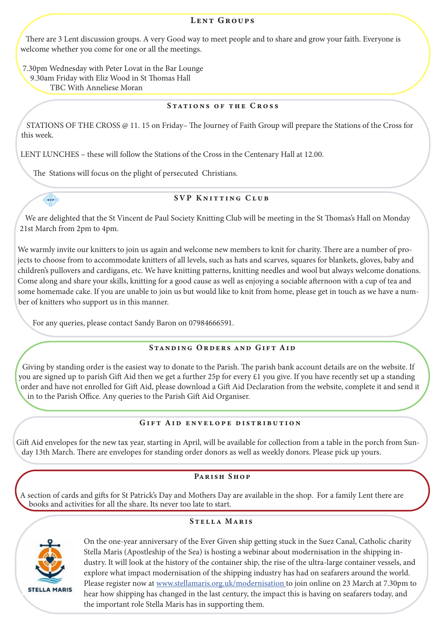## LENT GROUPS

There are 3 Lent discussion groups. A very Good way to meet people and to share and grow your faith. Everyone is welcome whether you come for one or all the meetings.

7.30pm Wednesday with Peter Lovat in the Bar Lounge 9.30am Friday with Eliz Wood in St Thomas Hall TBC With Anneliese Moran

# Stations of the Cross

STATIONS OF THE CROSS @ 11. 15 on Friday– The Journey of Faith Group will prepare the Stations of the Cross for this week.

LENT LUNCHES – these will follow the Stations of the Cross in the Centenary Hall at 12.00.

The Stations will focus on the plight of persecuted Christians.

# SVP Knitting Club

We are delighted that the St Vincent de Paul Society Knitting Club will be meeting in the St Thomas's Hall on Monday 21st March from 2pm to 4pm.

We warmly invite our knitters to join us again and welcome new members to knit for charity. There are a number of projects to choose from to accommodate knitters of all levels, such as hats and scarves, squares for blankets, gloves, baby and children's pullovers and cardigans, etc. We have knitting patterns, knitting needles and wool but always welcome donations. Come along and share your skills, knitting for a good cause as well as enjoying a sociable afternoon with a cup of tea and some homemade cake. If you are unable to join us but would like to knit from home, please get in touch as we have a number of knitters who support us in this manner.

For any queries, please contact Sandy Baron on 07984666591.

# Standing Orders and Gift Aid

Giving by standing order is the easiest way to donate to the Parish. The parish bank account details are on the website. If you are signed up to parish Gift Aid then we get a further 25p for every £1 you give. If you have recently set up a standing order and have not enrolled for Gift Aid, please download a Gift Aid Declaration from the website, complete it and send it in to the Parish Office. Any queries to the Parish Gift Aid Organiser.

# Gift Aid envelope distribution

Gift Aid envelopes for the new tax year, starting in April, will be available for collection from a table in the porch from Sunday 13th March. There are envelopes for standing order donors as well as weekly donors. Please pick up yours.

# Parish Shop

A section of cards and gifts for St Patrick's Day and Mothers Day are available in the shop. For a family Lent there are books and activities for all the share. Its never too late to start.

# Stella Maris



sv<sub>P</sub>

On the one-year anniversary of the Ever Given ship getting stuck in the Suez Canal, Catholic charity Stella Maris (Apostleship of the Sea) is hosting a webinar about modernisation in the shipping industry. It will look at the history of the container ship, the rise of the ultra-large container vessels, and explore what impact modernisation of the shipping industry has had on seafarers around the world. Please register now at www.stellamaris.org.uk/modernisation to join online on 23 March at 7.30pm to hear how shipping has changed in the last century, the impact this is having on seafarers today, and the important role Stella Maris has in supporting them.